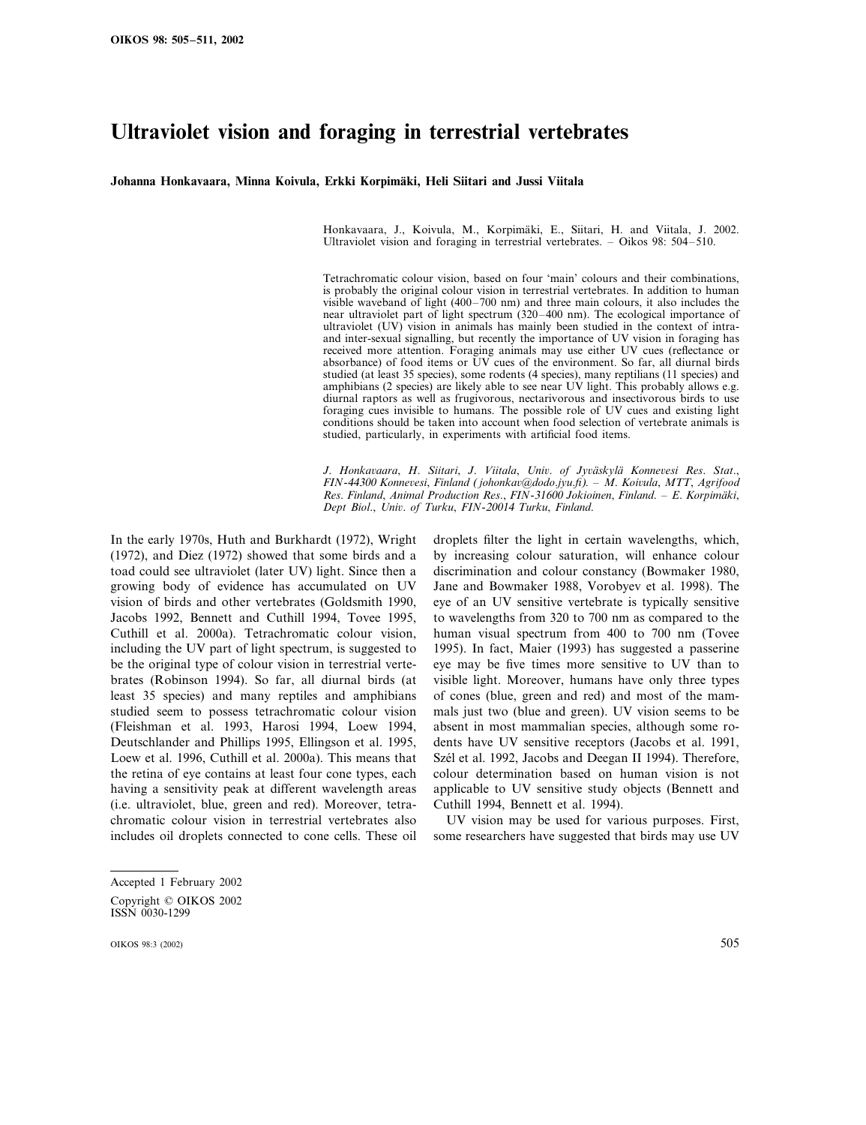# **Ultraviolet vision and foraging in terrestrial vertebrates**

Johanna Honkavaara, Minna Koivula, Erkki Korpimäki, Heli Siitari and Jussi Viitala

Honkavaara, J., Koivula, M., Korpimäki, E., Siitari, H. and Viitala, J. 2002. Ultraviolet vision and foraging in terrestrial vertebrates. – Oikos 98: 504–510.

Tetrachromatic colour vision, based on four 'main' colours and their combinations, is probably the original colour vision in terrestrial vertebrates. In addition to human visible waveband of light (400–700 nm) and three main colours, it also includes the near ultraviolet part of light spectrum (320–400 nm). The ecological importance of ultraviolet (UV) vision in animals has mainly been studied in the context of intraand inter-sexual signalling, but recently the importance of UV vision in foraging has received more attention. Foraging animals may use either UV cues (reflectance or absorbance) of food items or UV cues of the environment. So far, all diurnal birds studied (at least 35 species), some rodents (4 species), many reptilians (11 species) and amphibians (2 species) are likely able to see near UV light. This probably allows e.g. diurnal raptors as well as frugivorous, nectarivorous and insectivorous birds to use foraging cues invisible to humans. The possible role of UV cues and existing light conditions should be taken into account when food selection of vertebrate animals is studied, particularly, in experiments with artificial food items.

*J*. *Honkaaara*, *H*. *Siitari*, *J*. *Viitala*, *Uni*. *of Jya¨skyla¨ Konneesi Res*. *Stat*., *FIN*-<sup>44300</sup> *Konneesi*, *Finland* ( *johonka@dodo*.*jyu*.*fi*). – *M*. *Koiula*, *MTT*, *Agrifood Res*. *Finland*, *Animal Production Res*., *FIN*-31600 *Jokioinen*, *Finland*. – *E*. *Korpima¨ki*, *Dept Biol*., *Uni*. *of Turku*, *FIN*-<sup>20014</sup> *Turku*, *Finland*.

In the early 1970s, Huth and Burkhardt (1972), Wright (1972), and Diez (1972) showed that some birds and a toad could see ultraviolet (later UV) light. Since then a growing body of evidence has accumulated on UV vision of birds and other vertebrates (Goldsmith 1990, Jacobs 1992, Bennett and Cuthill 1994, Tovee 1995, Cuthill et al. 2000a). Tetrachromatic colour vision, including the UV part of light spectrum, is suggested to be the original type of colour vision in terrestrial vertebrates (Robinson 1994). So far, all diurnal birds (at least 35 species) and many reptiles and amphibians studied seem to possess tetrachromatic colour vision (Fleishman et al. 1993, Harosi 1994, Loew 1994, Deutschlander and Phillips 1995, Ellingson et al. 1995, Loew et al. 1996, Cuthill et al. 2000a). This means that the retina of eye contains at least four cone types, each having a sensitivity peak at different wavelength areas (i.e. ultraviolet, blue, green and red). Moreover, tetrachromatic colour vision in terrestrial vertebrates also includes oil droplets connected to cone cells. These oil droplets filter the light in certain wavelengths, which, by increasing colour saturation, will enhance colour discrimination and colour constancy (Bowmaker 1980, Jane and Bowmaker 1988, Vorobyev et al. 1998). The eye of an UV sensitive vertebrate is typically sensitive to wavelengths from 320 to 700 nm as compared to the human visual spectrum from 400 to 700 nm (Tovee 1995). In fact, Maier (1993) has suggested a passerine eye may be five times more sensitive to UV than to visible light. Moreover, humans have only three types of cones (blue, green and red) and most of the mammals just two (blue and green). UV vision seems to be absent in most mammalian species, although some rodents have UV sensitive receptors (Jacobs et al. 1991, Szél et al. 1992, Jacobs and Deegan II 1994). Therefore, colour determination based on human vision is not applicable to UV sensitive study objects (Bennett and Cuthill 1994, Bennett et al. 1994).

UV vision may be used for various purposes. First, some researchers have suggested that birds may use UV

Accepted 1 February 2002 Copyright © OIKOS 2002 ISSN 0030-1299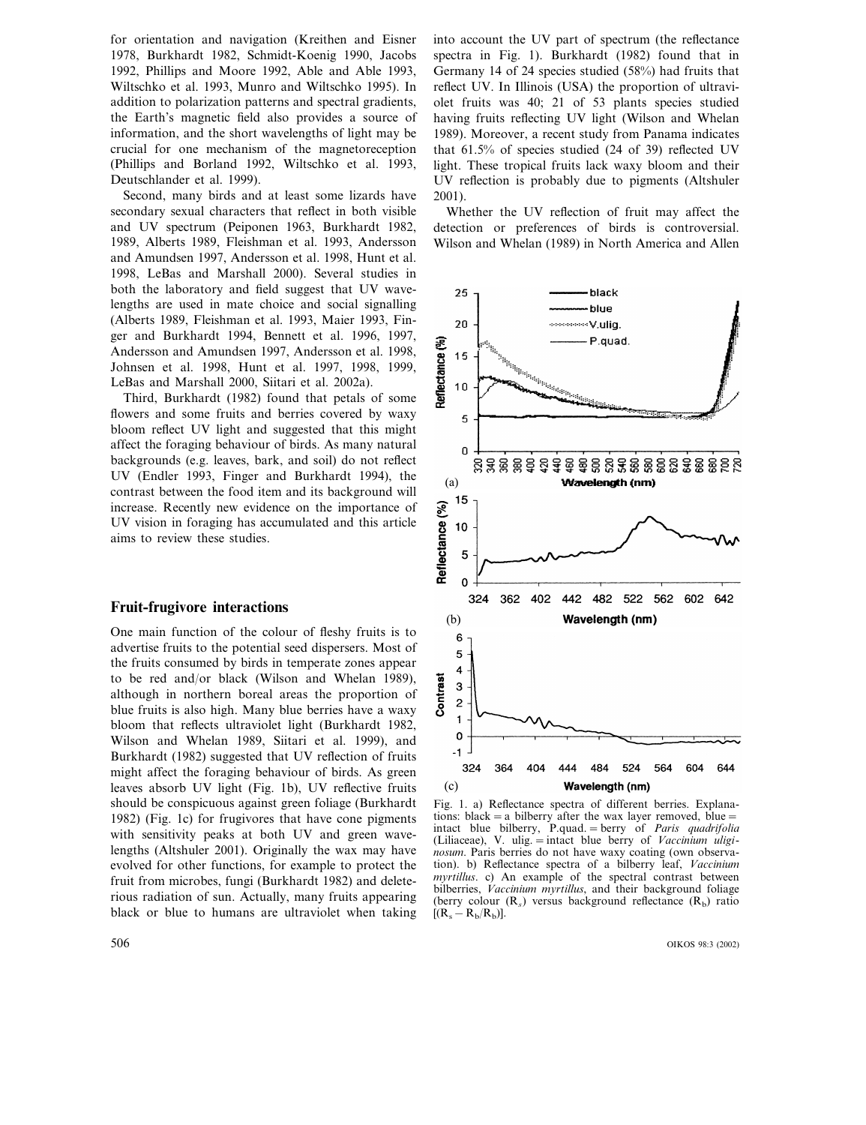for orientation and navigation (Kreithen and Eisner 1978, Burkhardt 1982, Schmidt-Koenig 1990, Jacobs 1992, Phillips and Moore 1992, Able and Able 1993, Wiltschko et al. 1993, Munro and Wiltschko 1995). In addition to polarization patterns and spectral gradients, the Earth's magnetic field also provides a source of information, and the short wavelengths of light may be crucial for one mechanism of the magnetoreception (Phillips and Borland 1992, Wiltschko et al. 1993, Deutschlander et al. 1999).

Second, many birds and at least some lizards have secondary sexual characters that reflect in both visible and UV spectrum (Peiponen 1963, Burkhardt 1982, 1989, Alberts 1989, Fleishman et al. 1993, Andersson and Amundsen 1997, Andersson et al. 1998, Hunt et al. 1998, LeBas and Marshall 2000). Several studies in both the laboratory and field suggest that UV wavelengths are used in mate choice and social signalling (Alberts 1989, Fleishman et al. 1993, Maier 1993, Finger and Burkhardt 1994, Bennett et al. 1996, 1997, Andersson and Amundsen 1997, Andersson et al. 1998, Johnsen et al. 1998, Hunt et al. 1997, 1998, 1999, LeBas and Marshall 2000, Siitari et al. 2002a).

Third, Burkhardt (1982) found that petals of some flowers and some fruits and berries covered by waxy bloom reflect UV light and suggested that this might affect the foraging behaviour of birds. As many natural backgrounds (e.g. leaves, bark, and soil) do not reflect UV (Endler 1993, Finger and Burkhardt 1994), the contrast between the food item and its background will increase. Recently new evidence on the importance of UV vision in foraging has accumulated and this article aims to review these studies.

#### **Fruit-frugivore interactions**

One main function of the colour of fleshy fruits is to advertise fruits to the potential seed dispersers. Most of the fruits consumed by birds in temperate zones appear to be red and/or black (Wilson and Whelan 1989), although in northern boreal areas the proportion of blue fruits is also high. Many blue berries have a waxy bloom that reflects ultraviolet light (Burkhardt 1982, Wilson and Whelan 1989, Siitari et al. 1999), and Burkhardt (1982) suggested that UV reflection of fruits might affect the foraging behaviour of birds. As green leaves absorb UV light (Fig. 1b), UV reflective fruits should be conspicuous against green foliage (Burkhardt 1982) (Fig. 1c) for frugivores that have cone pigments with sensitivity peaks at both UV and green wavelengths (Altshuler 2001). Originally the wax may have evolved for other functions, for example to protect the fruit from microbes, fungi (Burkhardt 1982) and deleterious radiation of sun. Actually, many fruits appearing black or blue to humans are ultraviolet when taking into account the UV part of spectrum (the reflectance spectra in Fig. 1). Burkhardt (1982) found that in Germany 14 of 24 species studied (58%) had fruits that reflect UV. In Illinois (USA) the proportion of ultraviolet fruits was 40; 21 of 53 plants species studied having fruits reflecting UV light (Wilson and Whelan 1989). Moreover, a recent study from Panama indicates that 61.5% of species studied (24 of 39) reflected UV light. These tropical fruits lack waxy bloom and their UV reflection is probably due to pigments (Altshuler 2001).

Whether the UV reflection of fruit may affect the detection or preferences of birds is controversial. Wilson and Whelan (1989) in North America and Allen



Fig. 1. a) Reflectance spectra of different berries. Explanations: black = a bilberry after the wax layer removed, blue = intact blue bilberry, P.quad.=berry of *Paris quadrifolia* (Liliaceae), V. ulig.=intact blue berry of *Vaccinium uliginosum*. Paris berries do not have waxy coating (own observation). b) Reflectance spectra of a bilberry leaf, *Vaccinium myrtillus*. c) An example of the spectral contrast between bilberries, *Vaccinium myrtillus*, and their background foliage (berry colour  $(R_s)$  versus background reflectance  $(R_b)$  ratio  $[(R_s - R_b/R_b)].$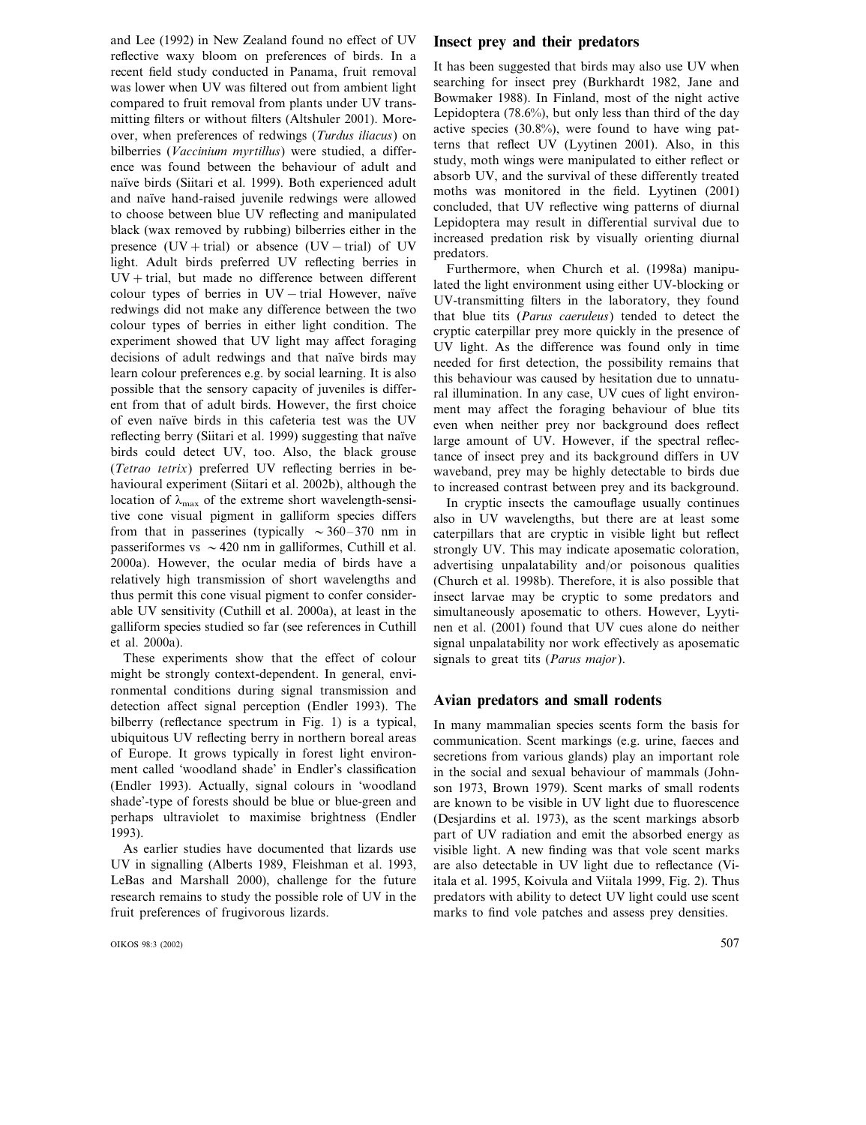and Lee (1992) in New Zealand found no effect of UV reflective waxy bloom on preferences of birds. In a recent field study conducted in Panama, fruit removal was lower when UV was filtered out from ambient light compared to fruit removal from plants under UV transmitting filters or without filters (Altshuler 2001). Moreover, when preferences of redwings (*Turdus iliacus*) on bilberries (*Vaccinium myrtillus*) were studied, a difference was found between the behaviour of adult and naïve birds (Siitari et al. 1999). Both experienced adult and naïve hand-raised juvenile redwings were allowed to choose between blue UV reflecting and manipulated black (wax removed by rubbing) bilberries either in the presence (UV + trial) or absence (UV – trial) of UV light. Adult birds preferred UV reflecting berries in  $UV + trial$ , but made no difference between different colour types of berries in UV – trial However, naïve redwings did not make any difference between the two colour types of berries in either light condition. The experiment showed that UV light may affect foraging decisions of adult redwings and that naïve birds may learn colour preferences e.g. by social learning. It is also possible that the sensory capacity of juveniles is different from that of adult birds. However, the first choice of even na¨ıve birds in this cafeteria test was the UV reflecting berry (Siitari et al. 1999) suggesting that naïve birds could detect UV, too. Also, the black grouse (*Tetrao tetrix*) preferred UV reflecting berries in behavioural experiment (Siitari et al. 2002b), although the location of  $\lambda_{\text{max}}$  of the extreme short wavelength-sensitive cone visual pigment in galliform species differs from that in passerines (typically  $\sim$  360–370 nm in passeriformes vs  $\sim$  420 nm in galliformes, Cuthill et al. 2000a). However, the ocular media of birds have a relatively high transmission of short wavelengths and thus permit this cone visual pigment to confer considerable UV sensitivity (Cuthill et al. 2000a), at least in the galliform species studied so far (see references in Cuthill et al. 2000a).

These experiments show that the effect of colour might be strongly context-dependent. In general, environmental conditions during signal transmission and detection affect signal perception (Endler 1993). The bilberry (reflectance spectrum in Fig. 1) is a typical, ubiquitous UV reflecting berry in northern boreal areas of Europe. It grows typically in forest light environment called 'woodland shade' in Endler's classification (Endler 1993). Actually, signal colours in 'woodland shade'-type of forests should be blue or blue-green and perhaps ultraviolet to maximise brightness (Endler 1993).

As earlier studies have documented that lizards use UV in signalling (Alberts 1989, Fleishman et al. 1993, LeBas and Marshall 2000), challenge for the future research remains to study the possible role of UV in the fruit preferences of frugivorous lizards.

#### **Insect prey and their predators**

It has been suggested that birds may also use UV when searching for insect prey (Burkhardt 1982, Jane and Bowmaker 1988). In Finland, most of the night active Lepidoptera (78.6%), but only less than third of the day active species (30.8%), were found to have wing patterns that reflect UV (Lyytinen 2001). Also, in this study, moth wings were manipulated to either reflect or absorb UV, and the survival of these differently treated moths was monitored in the field. Lyytinen (2001) concluded, that UV reflective wing patterns of diurnal Lepidoptera may result in differential survival due to increased predation risk by visually orienting diurnal predators.

Furthermore, when Church et al. (1998a) manipulated the light environment using either UV-blocking or UV-transmitting filters in the laboratory, they found that blue tits (*Parus caeruleus*) tended to detect the cryptic caterpillar prey more quickly in the presence of UV light. As the difference was found only in time needed for first detection, the possibility remains that this behaviour was caused by hesitation due to unnatural illumination. In any case, UV cues of light environment may affect the foraging behaviour of blue tits even when neither prey nor background does reflect large amount of UV. However, if the spectral reflectance of insect prey and its background differs in UV waveband, prey may be highly detectable to birds due to increased contrast between prey and its background.

In cryptic insects the camouflage usually continues also in UV wavelengths, but there are at least some caterpillars that are cryptic in visible light but reflect strongly UV. This may indicate aposematic coloration, advertising unpalatability and/or poisonous qualities (Church et al. 1998b). Therefore, it is also possible that insect larvae may be cryptic to some predators and simultaneously aposematic to others. However, Lyytinen et al. (2001) found that UV cues alone do neither signal unpalatability nor work effectively as aposematic signals to great tits (*Parus major*).

#### **Avian predators and small rodents**

In many mammalian species scents form the basis for communication. Scent markings (e.g. urine, faeces and secretions from various glands) play an important role in the social and sexual behaviour of mammals (Johnson 1973, Brown 1979). Scent marks of small rodents are known to be visible in UV light due to fluorescence (Desjardins et al. 1973), as the scent markings absorb part of UV radiation and emit the absorbed energy as visible light. A new finding was that vole scent marks are also detectable in UV light due to reflectance (Viitala et al. 1995, Koivula and Viitala 1999, Fig. 2). Thus predators with ability to detect UV light could use scent marks to find vole patches and assess prey densities.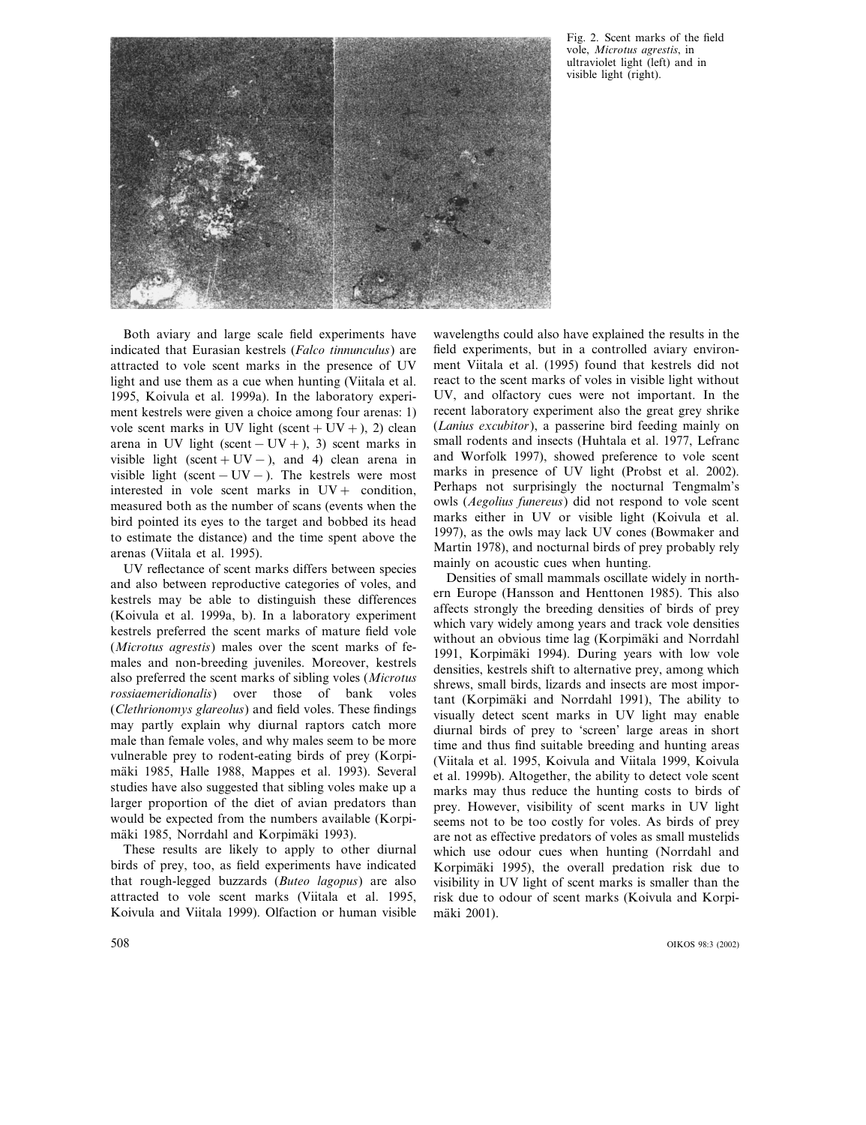

Fig. 2. Scent marks of the field vole, *Microtus agrestis*, in ultraviolet light (left) and in visible light (right).

Both aviary and large scale field experiments have indicated that Eurasian kestrels (*Falco tinnunculus*) are attracted to vole scent marks in the presence of UV light and use them as a cue when hunting (Viitala et al. 1995, Koivula et al. 1999a). In the laboratory experiment kestrels were given a choice among four arenas: 1) vole scent marks in UV light (scent + UV + ), 2) clean arena in UV light (scent  $-W+$ ), 3) scent marks in visible light (scent + UV – ), and 4) clean arena in visible light (scent  $-UV-$ ). The kestrels were most interested in vole scent marks in  $UV +$  condition, measured both as the number of scans (events when the bird pointed its eyes to the target and bobbed its head to estimate the distance) and the time spent above the arenas (Viitala et al. 1995).

UV reflectance of scent marks differs between species and also between reproductive categories of voles, and kestrels may be able to distinguish these differences (Koivula et al. 1999a, b). In a laboratory experiment kestrels preferred the scent marks of mature field vole (*Microtus agrestis*) males over the scent marks of females and non-breeding juveniles. Moreover, kestrels also preferred the scent marks of sibling voles (*Microtus rossiaemeridionalis*) over those of bank voles (*Clethrionomys glareolus*) and field voles. These findings may partly explain why diurnal raptors catch more male than female voles, and why males seem to be more vulnerable prey to rodent-eating birds of prey (Korpimäki 1985, Halle 1988, Mappes et al. 1993). Several studies have also suggested that sibling voles make up a larger proportion of the diet of avian predators than would be expected from the numbers available (Korpimäki 1985, Norrdahl and Korpimäki 1993).

These results are likely to apply to other diurnal birds of prey, too, as field experiments have indicated that rough-legged buzzards (*Buteo lagopus*) are also attracted to vole scent marks (Viitala et al. 1995, Koivula and Viitala 1999). Olfaction or human visible wavelengths could also have explained the results in the field experiments, but in a controlled aviary environment Viitala et al. (1995) found that kestrels did not react to the scent marks of voles in visible light without UV, and olfactory cues were not important. In the recent laboratory experiment also the great grey shrike (*Lanius excubitor*), a passerine bird feeding mainly on small rodents and insects (Huhtala et al. 1977, Lefranc and Worfolk 1997), showed preference to vole scent marks in presence of UV light (Probst et al. 2002). Perhaps not surprisingly the nocturnal Tengmalm's owls (*Aegolius funereus*) did not respond to vole scent marks either in UV or visible light (Koivula et al. 1997), as the owls may lack UV cones (Bowmaker and Martin 1978), and nocturnal birds of prey probably rely mainly on acoustic cues when hunting.

Densities of small mammals oscillate widely in northern Europe (Hansson and Henttonen 1985). This also affects strongly the breeding densities of birds of prey which vary widely among years and track vole densities without an obvious time lag (Korpimäki and Norrdahl 1991, Korpimäki 1994). During years with low vole densities, kestrels shift to alternative prey, among which shrews, small birds, lizards and insects are most important (Korpimäki and Norrdahl 1991), The ability to visually detect scent marks in UV light may enable diurnal birds of prey to 'screen' large areas in short time and thus find suitable breeding and hunting areas (Viitala et al. 1995, Koivula and Viitala 1999, Koivula et al. 1999b). Altogether, the ability to detect vole scent marks may thus reduce the hunting costs to birds of prey. However, visibility of scent marks in UV light seems not to be too costly for voles. As birds of prey are not as effective predators of voles as small mustelids which use odour cues when hunting (Norrdahl and Korpimäki 1995), the overall predation risk due to visibility in UV light of scent marks is smaller than the risk due to odour of scent marks (Koivula and Korpimäki 2001).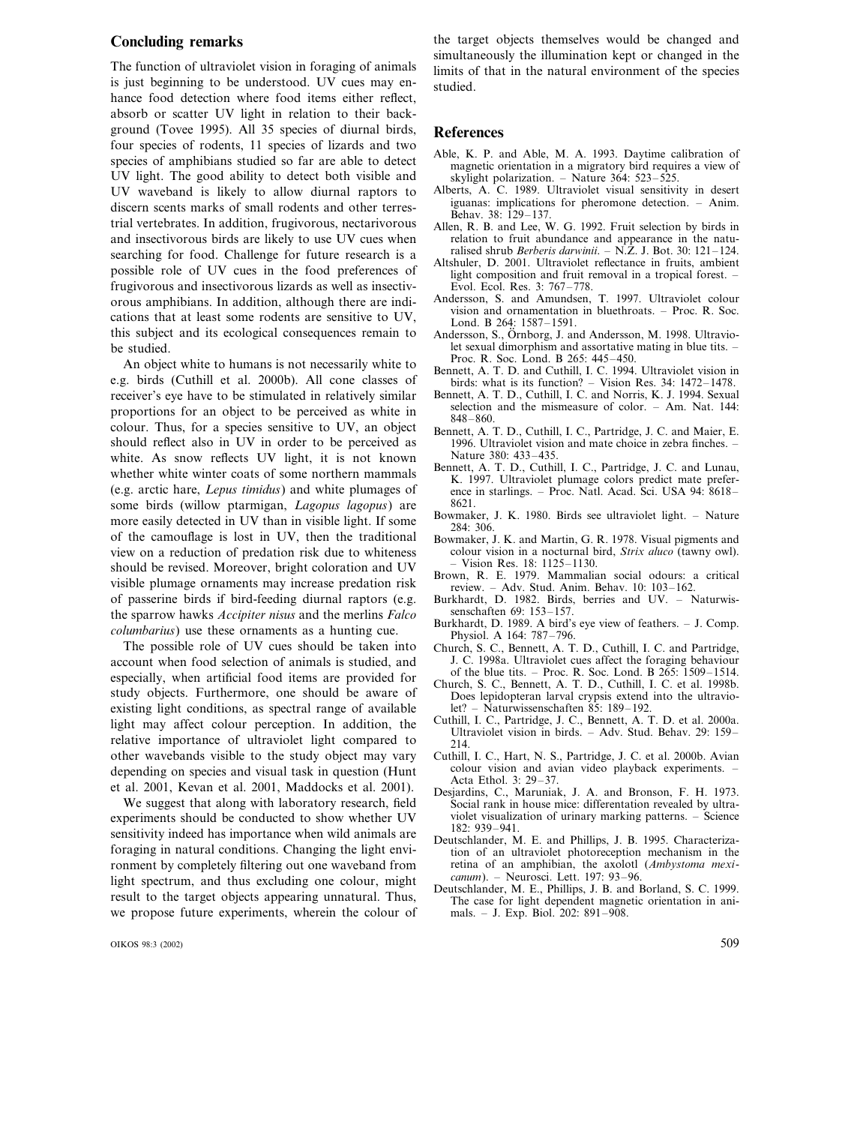### **Concluding remarks**

The function of ultraviolet vision in foraging of animals is just beginning to be understood. UV cues may enhance food detection where food items either reflect, absorb or scatter UV light in relation to their background (Tovee 1995). All 35 species of diurnal birds, four species of rodents, 11 species of lizards and two species of amphibians studied so far are able to detect UV light. The good ability to detect both visible and UV waveband is likely to allow diurnal raptors to discern scents marks of small rodents and other terrestrial vertebrates. In addition, frugivorous, nectarivorous and insectivorous birds are likely to use UV cues when searching for food. Challenge for future research is a possible role of UV cues in the food preferences of frugivorous and insectivorous lizards as well as insectivorous amphibians. In addition, although there are indications that at least some rodents are sensitive to UV, this subject and its ecological consequences remain to be studied.

An object white to humans is not necessarily white to e.g. birds (Cuthill et al. 2000b). All cone classes of receiver's eye have to be stimulated in relatively similar proportions for an object to be perceived as white in colour. Thus, for a species sensitive to UV, an object should reflect also in UV in order to be perceived as white. As snow reflects UV light, it is not known whether white winter coats of some northern mammals (e.g. arctic hare, *Lepus timidus*) and white plumages of some birds (willow ptarmigan, *Lagopus lagopus*) are more easily detected in UV than in visible light. If some of the camouflage is lost in UV, then the traditional view on a reduction of predation risk due to whiteness should be revised. Moreover, bright coloration and UV visible plumage ornaments may increase predation risk of passerine birds if bird-feeding diurnal raptors (e.g. the sparrow hawks *Accipiter nisus* and the merlins *Falco columbarius*) use these ornaments as a hunting cue.

The possible role of UV cues should be taken into account when food selection of animals is studied, and especially, when artificial food items are provided for study objects. Furthermore, one should be aware of existing light conditions, as spectral range of available light may affect colour perception. In addition, the relative importance of ultraviolet light compared to other wavebands visible to the study object may vary depending on species and visual task in question (Hunt et al. 2001, Kevan et al. 2001, Maddocks et al. 2001).

We suggest that along with laboratory research, field experiments should be conducted to show whether UV sensitivity indeed has importance when wild animals are foraging in natural conditions. Changing the light environment by completely filtering out one waveband from light spectrum, and thus excluding one colour, might result to the target objects appearing unnatural. Thus, we propose future experiments, wherein the colour of the target objects themselves would be changed and simultaneously the illumination kept or changed in the limits of that in the natural environment of the species studied.

## **References**

- Able, K. P. and Able, M. A. 1993. Daytime calibration of magnetic orientation in a migratory bird requires a view of skylight polarization. – Nature 364: 523–525.
- Alberts, A. C. 1989. Ultraviolet visual sensitivity in desert iguanas: implications for pheromone detection. – Anim. Behav. 38: 129–137.
- Allen, R. B. and Lee, W. G. 1992. Fruit selection by birds in relation to fruit abundance and appearance in the naturalised shrub *Berberis darwinii.* –  $N.\overline{Z}$ . J. Bot. 30: 121–124. Altshuler, D. 2001. Ultraviolet reflectance in fruits, ambient
- light composition and fruit removal in a tropical forest. Evol. Ecol. Res. 3: 767–778.
- Andersson, S. and Amundsen, T. 1997. Ultraviolet colour vision and ornamentation in bluethroats. – Proc. R. Soc. Lond. B 264: 1587–1591.
- Andersson, S., Ornborg, J. and Andersson, M. 1998. Ultraviolet sexual dimorphism and assortative mating in blue tits. – Proc. R. Soc. Lond. B 265: 445–450.
- Bennett, A. T. D. and Cuthill, I. C. 1994. Ultraviolet vision in birds: what is its function? – Vision Res. 34: 1472–1478.
- Bennett, A. T. D., Cuthill, I. C. and Norris, K. J. 1994. Sexual selection and the mismeasure of color. – Am. Nat. 144: 848–860.
- Bennett, A. T. D., Cuthill, I. C., Partridge, J. C. and Maier, E. 1996. Ultraviolet vision and mate choice in zebra finches. – Nature 380: 433–435.
- Bennett, A. T. D., Cuthill, I. C., Partridge, J. C. and Lunau, K. 1997. Ultraviolet plumage colors predict mate preference in starlings. – Proc. Natl. Acad. Sci. USA 94: 8618– 8621.
- Bowmaker, J. K. 1980. Birds see ultraviolet light. Nature 284: 306.
- Bowmaker, J. K. and Martin, G. R. 1978. Visual pigments and colour vision in a nocturnal bird, *Strix aluco* (tawny owl). – Vision Res. 18: 1125–1130.
- Brown, R. E. 1979. Mammalian social odours: a critical review. – Adv. Stud. Anim. Behav. 10: 103–162.
- Burkhardt, D. 1982. Birds, berries and UV. Naturwissenschaften 69: 153–157.
- Burkhardt, D. 1989. A bird's eye view of feathers. J. Comp. Physiol. A 164: 787–796.
- Church, S. C., Bennett, A. T. D., Cuthill, I. C. and Partridge, J. C. 1998a. Ultraviolet cues affect the foraging behaviour of the blue tits. – Proc. R. Soc. Lond. B 265: 1509–1514.
- Church, S. C., Bennett, A. T. D., Cuthill, I. C. et al. 1998b. Does lepidopteran larval crypsis extend into the ultraviolet? – Naturwissenschaften 85: 189–192.
- Cuthill, I. C., Partridge, J. C., Bennett, A. T. D. et al. 2000a. Ultraviolet vision in birds. – Adv. Stud. Behav. 29: 159– 214.
- Cuthill, I. C., Hart, N. S., Partridge, J. C. et al. 2000b. Avian colour vision and avian video playback experiments. – Acta Ethol. 3: 29–37.
- Desjardins, C., Maruniak, J. A. and Bronson, F. H. 1973. Social rank in house mice: differentation revealed by ultraviolet visualization of urinary marking patterns. – Science 182: 939–941.
- Deutschlander, M. E. and Phillips, J. B. 1995. Characterization of an ultraviolet photoreception mechanism in the retina of an amphibian, the axolotl (*Ambystoma mexicanum*). – Neurosci. Lett. 197: 93–96.
- Deutschlander, M. E., Phillips, J. B. and Borland, S. C. 1999. The case for light dependent magnetic orientation in animals. – J. Exp. Biol. 202: 891–908.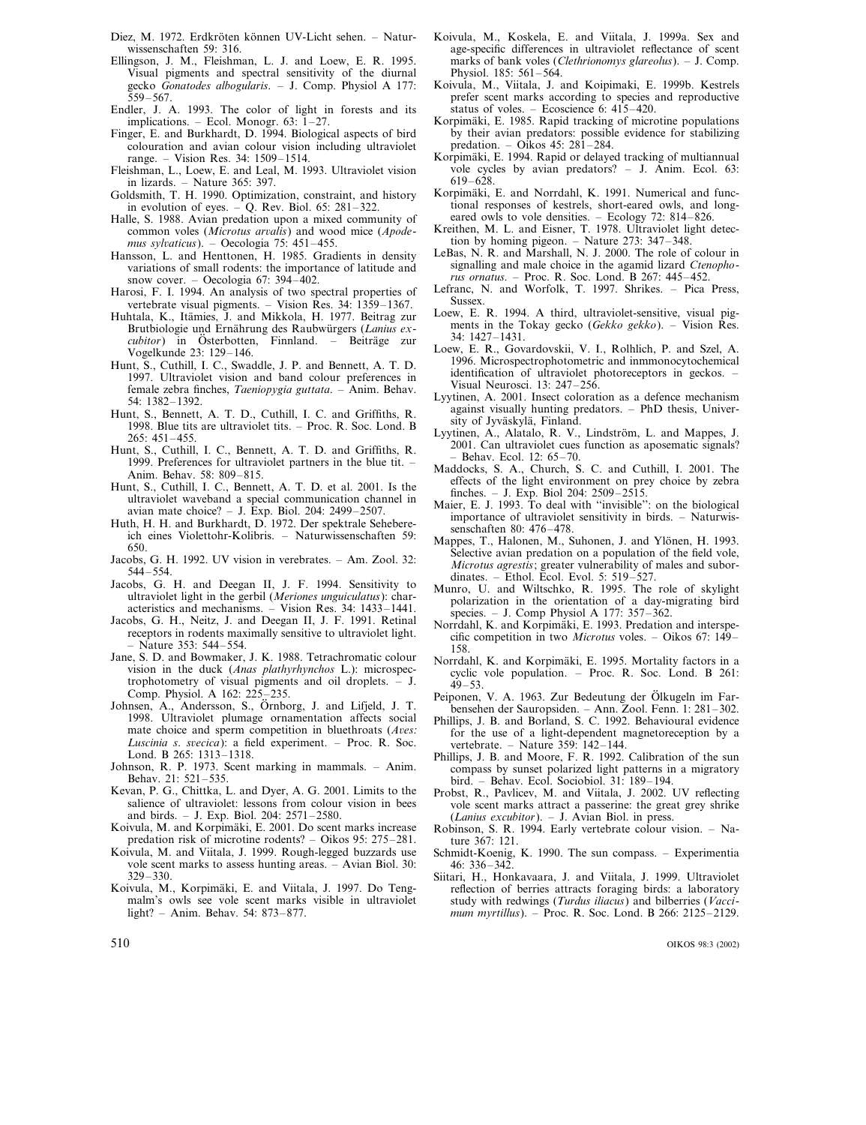- Diez, M. 1972. Erdkröten können UV-Licht sehen. Naturwissenschaften 59: 316.
- Ellingson, J. M., Fleishman, L. J. and Loew, E. R. 1995. Visual pigments and spectral sensitivity of the diurnal gecko *Gonatodes albogularis*. – J. Comp. Physiol A 177: 559–567.
- Endler, J. A. 1993. The color of light in forests and its implications. – Ecol. Monogr. 63: 1–27.
- Finger, E. and Burkhardt, D. 1994. Biological aspects of bird colouration and avian colour vision including ultraviolet range. – Vision Res. 34: 1509–1514.
- Fleishman, L., Loew, E. and Leal, M. 1993. Ultraviolet vision in lizards. – Nature 365: 397.
- Goldsmith, T. H. 1990. Optimization, constraint, and history in evolution of eyes.  $-$  Q. Rev. Biol. 65: 281–322.
- Halle, S. 1988. Avian predation upon a mixed community of common voles (*Microtus aralis*) and wood mice (*Apodemus sylaticus*). – Oecologia 75: 451–455.
- Hansson, L. and Henttonen, H. 1985. Gradients in density variations of small rodents: the importance of latitude and snow cover. – Oecologia 67: 394–402.
- Harosi, F. I. 1994. An analysis of two spectral properties of vertebrate visual pigments. – Vision Res. 34: 1359–1367.
- Huhtala, K., Itämies, J. and Mikkola, H. 1977. Beitrag zur Brutbiologie und Ernährung des Raubwürgers (*Lanius ex-cubitor*) in Österbotten, Finnland. – Beiträge zur  $cubicor$ ) in Österbotten, Finnland. – Vogelkunde 23: 129–146.
- Hunt, S., Cuthill, I. C., Swaddle, J. P. and Bennett, A. T. D. 1997. Ultraviolet vision and band colour preferences in female zebra finches, *Taeniopygia guttata*. – Anim. Behav. 54: 1382–1392.
- Hunt, S., Bennett, A. T. D., Cuthill, I. C. and Griffiths, R. 1998. Blue tits are ultraviolet tits. – Proc. R. Soc. Lond. B  $265 \cdot 451 - 455$
- Hunt, S., Cuthill, I. C., Bennett, A. T. D. and Griffiths, R. 1999. Preferences for ultraviolet partners in the blue tit. – Anim. Behav. 58: 809–815.
- Hunt, S., Cuthill, I. C., Bennett, A. T. D. et al. 2001. Is the ultraviolet waveband a special communication channel in avian mate choice? – J. Exp. Biol. 204: 2499–2507.
- Huth, H. H. and Burkhardt, D. 1972. Der spektrale Sehebereich eines Violettohr-Kolibris. – Naturwissenschaften 59: 650.
- Jacobs, G. H. 1992. UV vision in verebrates. Am. Zool. 32: 544–554.
- Jacobs, G. H. and Deegan II, J. F. 1994. Sensitivity to ultraviolet light in the gerbil (*Meriones unguiculatus*): characteristics and mechanisms. – Vision Res. 34: 1433–1441.
- Jacobs, G. H., Neitz, J. and Deegan II, J. F. 1991. Retinal receptors in rodents maximally sensitive to ultraviolet light. – Nature 353: 544–554.
- Jane, S. D. and Bowmaker, J. K. 1988. Tetrachromatic colour vision in the duck (*Anas plathyrhynchos* L.): microspectrophotometry of visual pigments and oil droplets. – J. Comp. Physiol. A 162: 225–235.
- Johnsen, A., Andersson, S., Ornborg, J. and Lifjeld, J. T. 1998. Ultraviolet plumage ornamentation affects social mate choice and sperm competition in bluethroats (*Aes*: *Luscinia s*. *secica*): a field experiment. – Proc. R. Soc. Lond. B 265: 1313–1318.
- Johnson, R. P. 1973. Scent marking in mammals. Anim. Behav. 21: 521–535.
- Kevan, P. G., Chittka, L. and Dyer, A. G. 2001. Limits to the salience of ultraviolet: lessons from colour vision in bees and birds. – J. Exp. Biol. 204: 2571–2580.
- Koivula, M. and Korpimäki, E. 2001. Do scent marks increase predation risk of microtine rodents? – Oikos 95: 275–281.
- Koivula, M. and Viitala, J. 1999. Rough-legged buzzards use vole scent marks to assess hunting areas. – Avian Biol. 30: 329–330.
- Koivula, M., Korpimäki, E. and Viitala, J. 1997. Do Tengmalm's owls see vole scent marks visible in ultraviolet light? – Anim. Behav. 54: 873–877.
- Koivula, M., Koskela, E. and Viitala, J. 1999a. Sex and age-specific differences in ultraviolet reflectance of scent marks of bank voles (*Clethrionomys glareolus*). – J. Comp. Physiol. 185: 561–564.
- Koivula, M., Viitala, J. and Koipimaki, E. 1999b. Kestrels prefer scent marks according to species and reproductive status of voles. – Ecoscience 6:  $415-420$ .
- Korpimäki, E. 1985. Rapid tracking of microtine populations by their avian predators: possible evidence for stabilizing predation. – Oikos 45: 281–284.
- Korpimäki, E. 1994. Rapid or delayed tracking of multiannual vole cycles by avian predators? – J. Anim. Ecol. 63: 619–628.
- Korpimäki, E. and Norrdahl, K. 1991. Numerical and functional responses of kestrels, short-eared owls, and longeared owls to vole densities. – Ecology 72: 814–826.
- Kreithen, M. L. and Eisner, T. 1978. Ultraviolet light detection by homing pigeon. – Nature 273: 347–348.
- LeBas, N. R. and Marshall, N. J. 2000. The role of colour in signalling and male choice in the agamid lizard *Ctenophorus ornatus*. – Proc. R. Soc. Lond. B 267: 445–452.
- Lefranc, N. and Worfolk, T. 1997. Shrikes. Pica Press, Sussex.
- Loew, E. R. 1994. A third, ultraviolet-sensitive, visual pigments in the Tokay gecko (*Gekko gekko*). – Vision Res. 34: 1427–1431.
- Loew, E. R., Govardovskii, V. I., Rolhlich, P. and Szel, A. 1996. Microspectrophotometric and inmmonocytochemical identification of ultraviolet photoreceptors in geckos. Visual Neurosci. 13: 247–256.
- Lyytinen, A. 2001. Insect coloration as a defence mechanism against visually hunting predators. – PhD thesis, University of Jyväskylä, Finland.
- Lyytinen, A., Alatalo, R. V., Lindström, L. and Mappes, J. 2001. Can ultraviolet cues function as aposematic signals? – Behav. Ecol. 12: 65–70.
- Maddocks, S. A., Church, S. C. and Cuthill, I. 2001. The effects of the light environment on prey choice by zebra finches. – J. Exp. Biol 204: 2509–2515.
- Maier, E. J. 1993. To deal with ''invisible'': on the biological importance of ultraviolet sensitivity in birds. – Naturwissenschaften 80: 476–478.
- Mappes, T., Halonen, M., Suhonen, J. and Ylönen, H. 1993. Selective avian predation on a population of the field vole, *Microtus agrestis*; greater vulnerability of males and subordinates. – Ethol. Ecol. Evol. 5: 519–527.
- Munro, U. and Wiltschko, R. 1995. The role of skylight polarization in the orientation of a day-migrating bird species. – J. Comp Physiol A 177: 357–362.
- Norrdahl, K. and Korpimäki, E. 1993. Predation and interspecific competition in two *Microtus* voles. – Oikos 67: 149– 158.
- Norrdahl, K. and Korpimäki, E. 1995. Mortality factors in a cyclic vole population. – Proc. R. Soc. Lond. B 261: 49–53.
- Peiponen, V. A. 1963. Zur Bedeutung der Ölkugeln im Farbensehen der Sauropsiden. – Ann. Zool. Fenn. 1: 281–302.
- Phillips, J. B. and Borland, S. C. 1992. Behavioural evidence for the use of a light-dependent magnetoreception by a vertebrate. – Nature 359: 142–144.
- Phillips, J. B. and Moore, F. R. 1992. Calibration of the sun compass by sunset polarized light patterns in a migratory bird. – Behav. Ecol. Sociobiol. 31: 189–194.
- Probst, R., Pavlicev, M. and Viitala, J. 2002. UV reflecting vole scent marks attract a passerine: the great grey shrike (*Lanius excubitor*). – J. Avian Biol. in press.
- Robinson, S. R. 1994. Early vertebrate colour vision. Nature 367: 121.
- Schmidt-Koenig, K. 1990. The sun compass. Experimentia 46: 336–342.
- Siitari, H., Honkavaara, J. and Viitala, J. 1999. Ultraviolet reflection of berries attracts foraging birds: a laboratory study with redwings (*Turdus iliacus*) and bilberries (*Vaccimum myrtillus*). – Proc. R. Soc. Lond. B 266: 2125–2129.